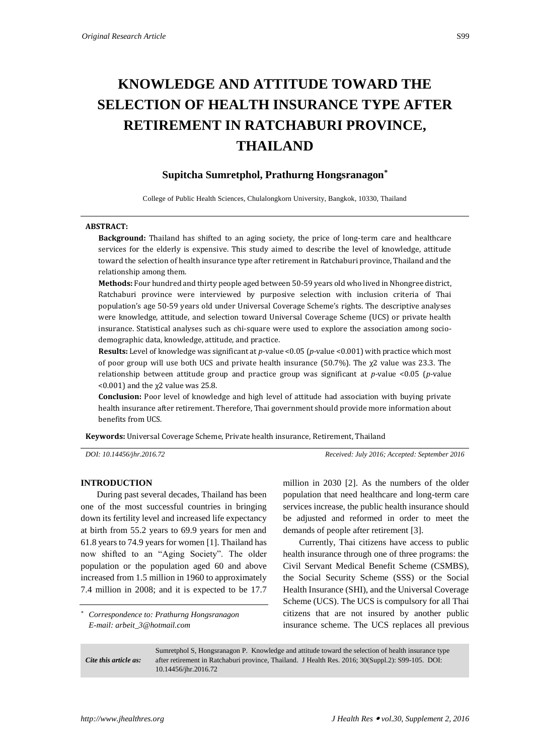# **KNOWLEDGE AND ATTITUDE TOWARD THE SELECTION OF HEALTH INSURANCE TYPE AFTER RETIREMENT IN RATCHABURI PROVINCE, THAILAND**

## **Supitcha Sumretphol, Prathurng Hongsranagon\***

College of Public Health Sciences, Chulalongkorn University, Bangkok, 10330, Thailand

#### **ABSTRACT:**

**Background:** Thailand has shifted to an aging society, the price of long-term care and healthcare services for the elderly is expensive. This study aimed to describe the level of knowledge, attitude toward the selection of health insurance type after retirement in Ratchaburi province, Thailand and the relationship among them.

**Methods:** Four hundred and thirty people aged between 50-59 years old who lived in Nhongree district, Ratchaburi province were interviewed by purposive selection with inclusion criteria of Thai population's age 50-59 years old under Universal Coverage Scheme's rights. The descriptive analyses were knowledge, attitude, and selection toward Universal Coverage Scheme (UCS) or private health insurance. Statistical analyses such as chi-square were used to explore the association among sociodemographic data, knowledge, attitude, and practice.

**Results:** Level of knowledge was significant at *p-*value <0.05 (*p-*value <0.001) with practice which most of poor group will use both UCS and private health insurance (50.7%). The  $\chi$ 2 value was 23.3. The relationship between attitude group and practice group was significant at *p-*value <0.05 (*p-*value  $(0.001)$  and the  $\chi$ 2 value was 25.8.

**Conclusion:** Poor level of knowledge and high level of attitude had association with buying private health insurance after retirement. Therefore, Thai government should provide more information about benefits from UCS.

**Keywords:** Universal Coverage Scheme, Private health insurance, Retirement, Thailand

*DOI: 10.14456/jhr.2016.72 Received: July 2016; Accepted: September 2016*

#### **INTRODUCTION**

During past several decades, Thailand has been one of the most successful countries in bringing down its fertility level and increased life expectancy at birth from 55.2 years to 69.9 years for men and 61.8 years to 74.9 years for women [1]. Thailand has now shifted to an "Aging Society". The older population or the population aged 60 and above increased from 1.5 million in 1960 to approximately 7.4 million in 2008; and it is expected to be 17.7

*\* Correspondence to: Prathurng Hongsranagon E-mail: arbeit\_3@hotmail.com*

million in 2030 [2]. As the numbers of the older population that need healthcare and long-term care services increase, the public health insurance should be adjusted and reformed in order to meet the demands of people after retirement [3].

Currently, Thai citizens have access to public health insurance through one of three programs: the Civil Servant Medical Benefit Scheme (CSMBS), the Social Security Scheme (SSS) or the Social Health Insurance (SHI), and the Universal Coverage Scheme (UCS). The UCS is compulsory for all Thai citizens that are not insured by another public insurance scheme. The UCS replaces all previous

*Cite this article as:* Sumretphol S, Hongsranagon P. Knowledge and attitude toward the selection of health insurance type after retirement in Ratchaburi province, Thailand. J Health Res. 2016; 30(Suppl.2): S99-105. DOI: 10.14456/jhr.2016.72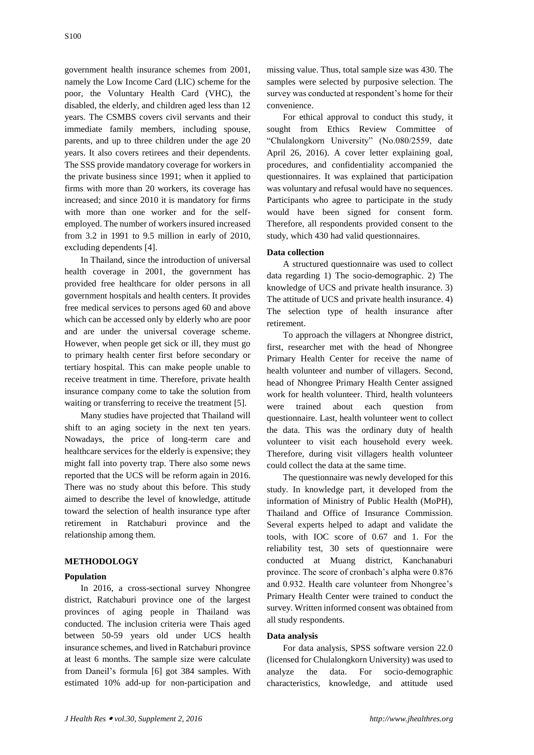government health insurance schemes from 2001, namely the Low Income Card (LIC) scheme for the poor, the Voluntary Health Card (VHC), the disabled, the elderly, and children aged less than 12 years. The CSMBS covers civil servants and their immediate family members, including spouse, parents, and up to three children under the age 20 years. It also covers retirees and their dependents. The SSS provide mandatory coverage for workers in the private business since 1991; when it applied to firms with more than 20 workers, its coverage has increased; and since 2010 it is mandatory for firms with more than one worker and for the selfemployed. The number of workers insured increased from 3.2 in 1991 to 9.5 million in early of 2010, excluding dependents [4].

In Thailand, since the introduction of universal health coverage in 2001, the government has provided free healthcare for older persons in all government hospitals and health centers. It provides free medical services to persons aged 60 and above which can be accessed only by elderly who are poor and are under the universal coverage scheme. However, when people get sick or ill, they must go to primary health center first before secondary or tertiary hospital. This can make people unable to receive treatment in time. Therefore, private health insurance company come to take the solution from waiting or transferring to receive the treatment [5].

Many studies have projected that Thailand will shift to an aging society in the next ten years. Nowadays, the price of long-term care and healthcare services for the elderly is expensive; they might fall into poverty trap. There also some news reported that the UCS will be reform again in 2016. There was no study about this before. This study aimed to describe the level of knowledge, attitude toward the selection of health insurance type after retirement in Ratchaburi province and the relationship among them.

## **METHODOLOGY**

### **Population**

In 2016, a cross-sectional survey Nhongree district, Ratchaburi province one of the largest provinces of aging people in Thailand was conducted. The inclusion criteria were Thais aged between 50-59 years old under UCS health insurance schemes, and lived in Ratchaburi province at least 6 months. The sample size were calculate from Daneil's formula [6] got 384 samples. With estimated 10% add-up for non-participation and missing value. Thus, total sample size was 430. The samples were selected by purposive selection. The survey was conducted at respondent's home for their convenience.

For ethical approval to conduct this study, it sought from Ethics Review Committee of "Chulalongkorn University" (No.080/2559, date April 26, 2016). A cover letter explaining goal, procedures, and confidentiality accompanied the questionnaires. It was explained that participation was voluntary and refusal would have no sequences. Participants who agree to participate in the study would have been signed for consent form. Therefore, all respondents provided consent to the study, which 430 had valid questionnaires.

## **Data collection**

A structured questionnaire was used to collect data regarding 1) The socio-demographic. 2) The knowledge of UCS and private health insurance. 3) The attitude of UCS and private health insurance. 4) The selection type of health insurance after retirement.

To approach the villagers at Nhongree district, first, researcher met with the head of Nhongree Primary Health Center for receive the name of health volunteer and number of villagers. Second, head of Nhongree Primary Health Center assigned work for health volunteer. Third, health volunteers were trained about each question from questionnaire. Last, health volunteer went to collect the data. This was the ordinary duty of health volunteer to visit each household every week. Therefore, during visit villagers health volunteer could collect the data at the same time.

The questionnaire was newly developed for this study. In knowledge part, it developed from the information of Ministry of Public Health (MoPH), Thailand and Office of Insurance Commission. Several experts helped to adapt and validate the tools, with IOC score of 0.67 and 1. For the reliability test, 30 sets of questionnaire were conducted at Muang district, Kanchanaburi province. The score of cronbach's alpha were 0.876 and 0.932. Health care volunteer from Nhongree's Primary Health Center were trained to conduct the survey. Written informed consent was obtained from all study respondents.

### **Data analysis**

For data analysis, SPSS software version 22.0 (licensed for Chulalongkorn University) was used to analyze the data. For socio-demographic characteristics, knowledge, and attitude used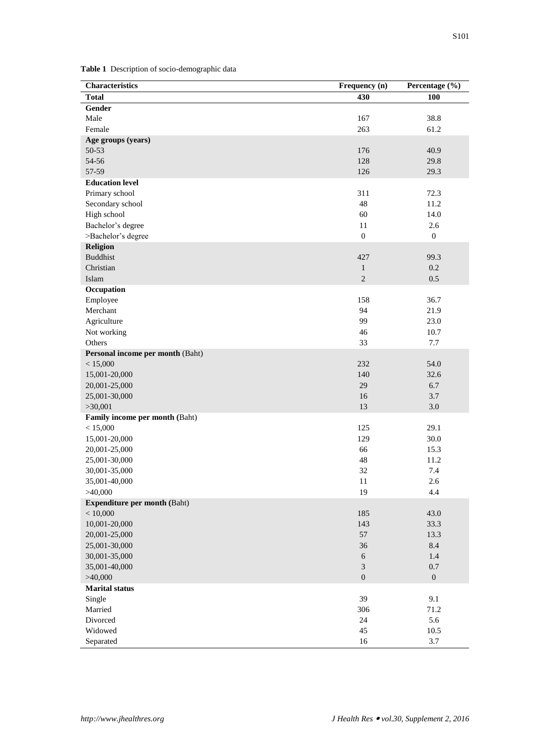**Table 1** Description of socio-demographic data

| <b>Characteristics</b>              | Frequency (n)    | Percentage (%)   |
|-------------------------------------|------------------|------------------|
| <b>Total</b>                        | 430              | <b>100</b>       |
| Gender                              |                  |                  |
| Male                                | 167              | 38.8             |
| Female                              | 263              | 61.2             |
| Age groups (years)                  |                  |                  |
| 50-53                               | 176              | 40.9             |
| 54-56                               | 128              | 29.8             |
| 57-59                               | 126              | 29.3             |
| <b>Education level</b>              |                  |                  |
| Primary school                      | 311              | 72.3             |
| Secondary school                    | 48               | 11.2             |
| High school                         | 60               | 14.0             |
| Bachelor's degree                   | 11               | 2.6              |
| >Bachelor's degree                  | $\boldsymbol{0}$ | $\boldsymbol{0}$ |
| <b>Religion</b>                     |                  |                  |
| <b>Buddhist</b>                     | 427              | 99.3             |
| Christian                           | $\mathbf{1}$     | 0.2              |
| Islam                               | $\overline{c}$   | 0.5              |
| Occupation                          |                  |                  |
| Employee                            | 158              | 36.7             |
| Merchant                            | 94               | 21.9             |
| Agriculture                         | 99               | 23.0             |
| Not working                         | 46               | 10.7             |
| Others                              | 33               | 7.7              |
| Personal income per month (Baht)    |                  |                  |
| < 15,000                            | 232              | 54.0             |
| 15,001-20,000                       | 140              | 32.6             |
| 20,001-25,000                       | 29               | 6.7              |
| 25,001-30,000                       | 16               | 3.7              |
| >30,001                             | 13               | 3.0              |
| Family income per month (Baht)      |                  |                  |
| < 15,000                            | 125              | 29.1             |
| 15,001-20,000                       | 129              | 30.0             |
| 20,001-25,000                       | 66               | 15.3             |
| 25,001-30,000                       | 48               | 11.2             |
| 30,001-35,000                       | 32               | 7.4              |
| 35,001-40,000                       | 11               | 2.6              |
| >40,000                             | 19               | 4.4              |
| <b>Expenditure per month (Baht)</b> |                  |                  |
| < 10,000                            | 185              | 43.0             |
| 10,001-20,000                       | 143              | 33.3             |
| 20,001-25,000                       | 57               | 13.3             |
| 25,001-30,000                       | 36               | 8.4              |
| 30,001-35,000                       | $\sqrt{6}$       | 1.4              |
| 35,001-40,000                       | 3                | 0.7              |
| >40,000                             | $\boldsymbol{0}$ | $\boldsymbol{0}$ |
| <b>Marital status</b>               |                  |                  |
| Single                              | 39               | 9.1              |
| Married                             | 306              | 71.2             |
| Divorced                            | 24               | 5.6              |
| Widowed                             | 45               | $10.5\,$         |
| Separated                           | 16               | 3.7              |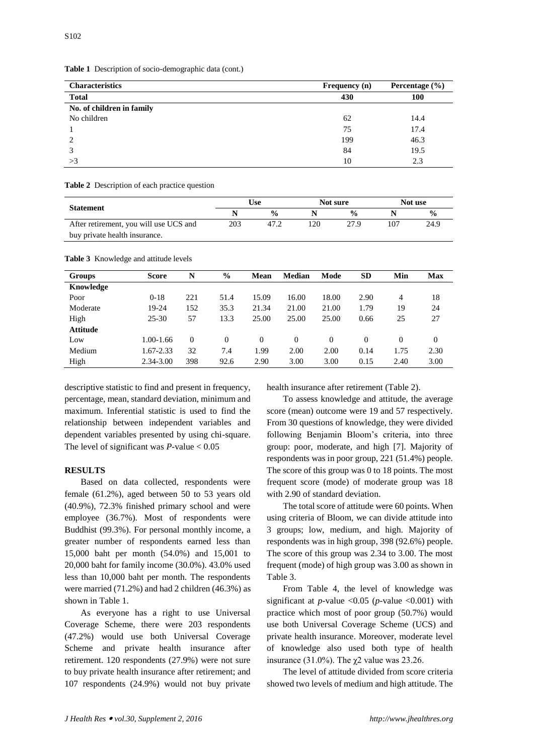|  |  |  | Table 1 Description of socio-demographic data (cont.) |  |
|--|--|--|-------------------------------------------------------|--|
|--|--|--|-------------------------------------------------------|--|

| <b>Characteristics</b>    | <b>Frequency</b> (n) | Percentage $(\% )$ |
|---------------------------|----------------------|--------------------|
| <b>Total</b>              | 430                  | 100                |
| No. of children in family |                      |                    |
| No children               | 62                   | 14.4               |
|                           | 75                   | 17.4               |
|                           | 199                  | 46.3               |
|                           | 84                   | 19.5               |
| >3                        | 10                   | 2.3                |

**Table 2** Description of each practice question

| <b>Statement</b>                       | Use |               | Not sure |               | Not use |               |
|----------------------------------------|-----|---------------|----------|---------------|---------|---------------|
|                                        |     | $\frac{0}{0}$ |          | $\frac{0}{0}$ |         | $\frac{0}{0}$ |
| After retirement, you will use UCS and | 203 | 47.2          | 20       | 27.9          | 107     | 24.9          |
| buy private health insurance.          |     |               |          |               |         |               |

**Table 3** Knowledge and attitude levels

| <b>Groups</b>   | <b>Score</b> | N              | $\%$     | <b>Mean</b> | <b>Median</b> | Mode     | <b>SD</b> | Min      | <b>Max</b>   |
|-----------------|--------------|----------------|----------|-------------|---------------|----------|-----------|----------|--------------|
| Knowledge       |              |                |          |             |               |          |           |          |              |
| Poor            | $0-18$       | 221            | 51.4     | 15.09       | 16.00         | 18.00    | 2.90      | 4        | 18           |
| Moderate        | 19-24        | 152            | 35.3     | 21.34       | 21.00         | 21.00    | 1.79      | 19       | 24           |
| High            | $25 - 30$    | 57             | 13.3     | 25.00       | 25.00         | 25.00    | 0.66      | 25       | 27           |
| <b>Attitude</b> |              |                |          |             |               |          |           |          |              |
| Low             | 1.00-1.66    | $\overline{0}$ | $\Omega$ | $\theta$    | $\Omega$      | $\Omega$ | $\Omega$  | $\Omega$ | $\mathbf{0}$ |
| Medium          | 1.67-2.33    | 32             | 7.4      | 1.99        | 2.00          | 2.00     | 0.14      | 1.75     | 2.30         |
| High            | 2.34-3.00    | 398            | 92.6     | 2.90        | 3.00          | 3.00     | 0.15      | 2.40     | 3.00         |

descriptive statistic to find and present in frequency, percentage, mean, standard deviation, minimum and maximum. Inferential statistic is used to find the relationship between independent variables and dependent variables presented by using chi-square. The level of significant was *P-*value < 0.05

## **RESULTS**

Based on data collected, respondents were female (61.2%), aged between 50 to 53 years old (40.9%), 72.3% finished primary school and were employee (36.7%). Most of respondents were Buddhist (99.3%). For personal monthly income, a greater number of respondents earned less than 15,000 baht per month (54.0%) and 15,001 to 20,000 baht for family income (30.0%). 43.0% used less than 10,000 baht per month. The respondents were married (71.2%) and had 2 children (46.3%) as shown in Table 1.

As everyone has a right to use Universal Coverage Scheme, there were 203 respondents (47.2%) would use both Universal Coverage Scheme and private health insurance after retirement. 120 respondents (27.9%) were not sure to buy private health insurance after retirement; and 107 respondents (24.9%) would not buy private health insurance after retirement (Table 2).

To assess knowledge and attitude, the average score (mean) outcome were 19 and 57 respectively. From 30 questions of knowledge, they were divided following Benjamin Bloom's criteria, into three group: poor, moderate, and high [7]. Majority of respondents was in poor group, 221 (51.4%) people. The score of this group was 0 to 18 points. The most frequent score (mode) of moderate group was 18 with 2.90 of standard deviation.

The total score of attitude were 60 points. When using criteria of Bloom, we can divide attitude into 3 groups; low, medium, and high. Majority of respondents was in high group, 398 (92.6%) people. The score of this group was 2.34 to 3.00. The most frequent (mode) of high group was 3.00 as shown in Table 3.

From Table 4, the level of knowledge was significant at *p-*value <0.05 (*p-*value <0.001) with practice which most of poor group (50.7%) would use both Universal Coverage Scheme (UCS) and private health insurance. Moreover, moderate level of knowledge also used both type of health insurance (31.0%). The  $\chi$ 2 value was 23.26.

The level of attitude divided from score criteria showed two levels of medium and high attitude. The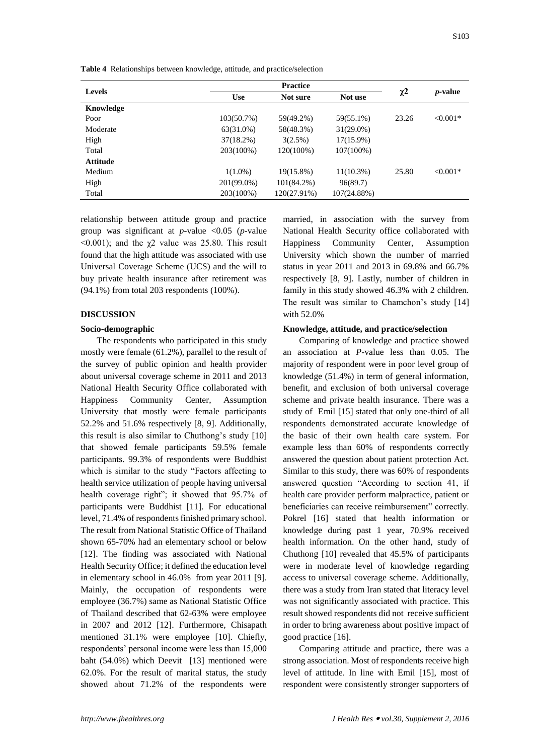|  | Table 4 Relationships between knowledge, attitude, and practice/selection |  |  |
|--|---------------------------------------------------------------------------|--|--|
|--|---------------------------------------------------------------------------|--|--|

| <b>Levels</b>   |               |               |              |          |                 |
|-----------------|---------------|---------------|--------------|----------|-----------------|
|                 | <b>Use</b>    | Not sure      | Not use      | $\chi^2$ | <i>p</i> -value |
| Knowledge       |               |               |              |          |                 |
| Poor            | $103(50.7\%)$ | 59(49.2%)     | 59(55.1%)    | 23.26    | $< 0.001*$      |
| Moderate        | 63(31.0%)     | 58(48.3%)     | $31(29.0\%)$ |          |                 |
| High            | $37(18.2\%)$  | 3(2.5%)       | $17(15.9\%)$ |          |                 |
| Total           | 203(100%)     | 120(100%)     | $107(100\%)$ |          |                 |
| <b>Attitude</b> |               |               |              |          |                 |
| Medium          | $1(1.0\%)$    | $19(15.8\%)$  | $11(10.3\%)$ | 25.80    | $< 0.001*$      |
| High            | 201(99.0%)    | $101(84.2\%)$ | 96(89.7)     |          |                 |
| Total           | 203(100%)     | 120(27.91%)   | 107(24.88%)  |          |                 |

relationship between attitude group and practice group was significant at *p-*value <0.05 (*p-*value  $\leq 0.001$ ); and the  $\chi$ 2 value was 25.80. This result found that the high attitude was associated with use Universal Coverage Scheme (UCS) and the will to buy private health insurance after retirement was (94.1%) from total 203 respondents (100%).

### **DISCUSSION**

## **Socio-demographic**

The respondents who participated in this study mostly were female (61.2%), parallel to the result of the survey of public opinion and health provider about universal coverage scheme in 2011 and 2013 National Health Security Office collaborated with Happiness Community Center, Assumption University that mostly were female participants 52.2% and 51.6% respectively [8, 9]. Additionally, this result is also similar to Chuthong's study [10] that showed female participants 59.5% female participants. 99.3% of respondents were Buddhist which is similar to the study "Factors affecting to health service utilization of people having universal health coverage right"; it showed that 95.7% of participants were Buddhist [11]. For educational level, 71.4% of respondents finished primary school. The result from National Statistic Office of Thailand shown 65-70% had an elementary school or below [12]. The finding was associated with National Health Security Office; it defined the education level in elementary school in 46.0% from year 2011 [9]. Mainly, the occupation of respondents were employee (36.7%) same as National Statistic Office of Thailand described that 62-63% were employee in 2007 and 2012 [12]. Furthermore, Chisapath mentioned 31.1% were employee [10]. Chiefly, respondents' personal income were less than 15,000 baht (54.0%) which Deevit [13] mentioned were 62.0%. For the result of marital status, the study showed about 71.2% of the respondents were

married, in association with the survey from National Health Security office collaborated with Happiness Community Center, Assumption University which shown the number of married status in year 2011 and 2013 in 69.8% and 66.7% respectively [8, 9]. Lastly, number of children in family in this study showed 46.3% with 2 children. The result was similar to Chamchon's study [14] with 52.0%

## **Knowledge, attitude, and practice/selection**

Comparing of knowledge and practice showed an association at *P-*value less than 0.05. The majority of respondent were in poor level group of knowledge (51.4%) in term of general information, benefit, and exclusion of both universal coverage scheme and private health insurance. There was a study of Emil [15] stated that only one-third of all respondents demonstrated accurate knowledge of the basic of their own health care system. For example less than 60% of respondents correctly answered the question about patient protection Act. Similar to this study, there was 60% of respondents answered question "According to section 41, if health care provider perform malpractice, patient or beneficiaries can receive reimbursement" correctly. Pokrel [16] stated that health information or knowledge during past 1 year, 70.9% received health information. On the other hand, study of Chuthong [10] revealed that 45.5% of participants were in moderate level of knowledge regarding access to universal coverage scheme. Additionally, there was a study from Iran stated that literacy level was not significantly associated with practice. This result showed respondents did not receive sufficient in order to bring awareness about positive impact of good practice [16].

Comparing attitude and practice, there was a strong association. Most of respondents receive high level of attitude. In line with Emil [15], most of respondent were consistently stronger supporters of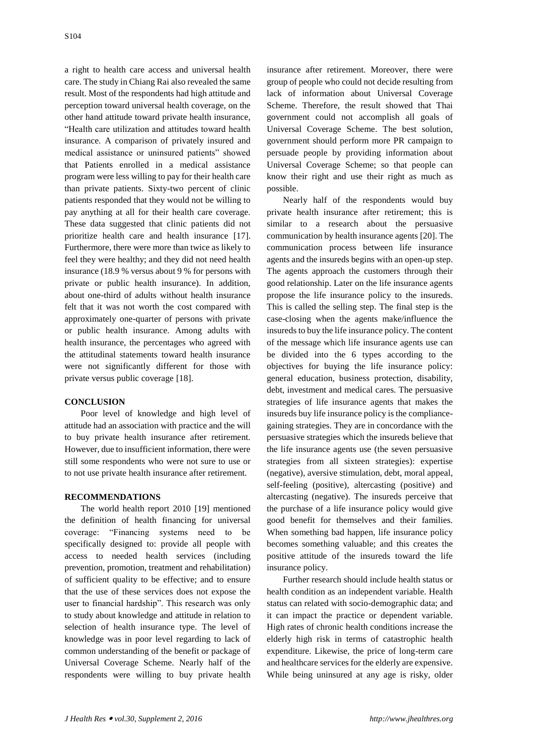a right to health care access and universal health care. The study in Chiang Rai also revealed the same result. Most of the respondents had high attitude and perception toward universal health coverage, on the other hand attitude toward private health insurance, "Health care utilization and attitudes toward health insurance. A comparison of privately insured and medical assistance or uninsured patients" showed that Patients enrolled in a medical assistance program were less willing to pay for their health care than private patients. Sixty-two percent of clinic patients responded that they would not be willing to pay anything at all for their health care coverage. These data suggested that clinic patients did not prioritize health care and health insurance [17]. Furthermore, there were more than twice as likely to feel they were healthy; and they did not need health insurance (18.9 % versus about 9 % for persons with private or public health insurance). In addition, about one-third of adults without health insurance felt that it was not worth the cost compared with approximately one-quarter of persons with private or public health insurance. Among adults with health insurance, the percentages who agreed with the attitudinal statements toward health insurance were not significantly different for those with private versus public coverage [18].

## **CONCLUSION**

Poor level of knowledge and high level of attitude had an association with practice and the will to buy private health insurance after retirement. However, due to insufficient information, there were still some respondents who were not sure to use or to not use private health insurance after retirement.

## **RECOMMENDATIONS**

The world health report 2010 [19] mentioned the definition of health financing for universal coverage: "Financing systems need to be specifically designed to: provide all people with access to needed health services (including prevention, promotion, treatment and rehabilitation) of sufficient quality to be effective; and to ensure that the use of these services does not expose the user to financial hardship". This research was only to study about knowledge and attitude in relation to selection of health insurance type. The level of knowledge was in poor level regarding to lack of common understanding of the benefit or package of Universal Coverage Scheme. Nearly half of the respondents were willing to buy private health

insurance after retirement. Moreover, there were group of people who could not decide resulting from lack of information about Universal Coverage Scheme. Therefore, the result showed that Thai government could not accomplish all goals of Universal Coverage Scheme. The best solution, government should perform more PR campaign to persuade people by providing information about Universal Coverage Scheme; so that people can know their right and use their right as much as possible.

Nearly half of the respondents would buy private health insurance after retirement; this is similar to a research about the persuasive communication by health insurance agents [20]. The communication process between life insurance agents and the insureds begins with an open-up step. The agents approach the customers through their good relationship. Later on the life insurance agents propose the life insurance policy to the insureds. This is called the selling step. The final step is the case-closing when the agents make/influence the insureds to buy the life insurance policy. The content of the message which life insurance agents use can be divided into the 6 types according to the objectives for buying the life insurance policy: general education, business protection, disability, debt, investment and medical cares. The persuasive strategies of life insurance agents that makes the insureds buy life insurance policy is the compliancegaining strategies. They are in concordance with the persuasive strategies which the insureds believe that the life insurance agents use (the seven persuasive strategies from all sixteen strategies): expertise (negative), aversive stimulation, debt, moral appeal, self-feeling (positive), altercasting (positive) and altercasting (negative). The insureds perceive that the purchase of a life insurance policy would give good benefit for themselves and their families. When something bad happen, life insurance policy becomes something valuable; and this creates the positive attitude of the insureds toward the life insurance policy.

Further research should include health status or health condition as an independent variable. Health status can related with socio-demographic data; and it can impact the practice or dependent variable. High rates of chronic health conditions increase the elderly high risk in terms of catastrophic health expenditure. Likewise, the price of long-term care and healthcare services for the elderly are expensive. While being uninsured at any age is risky, older